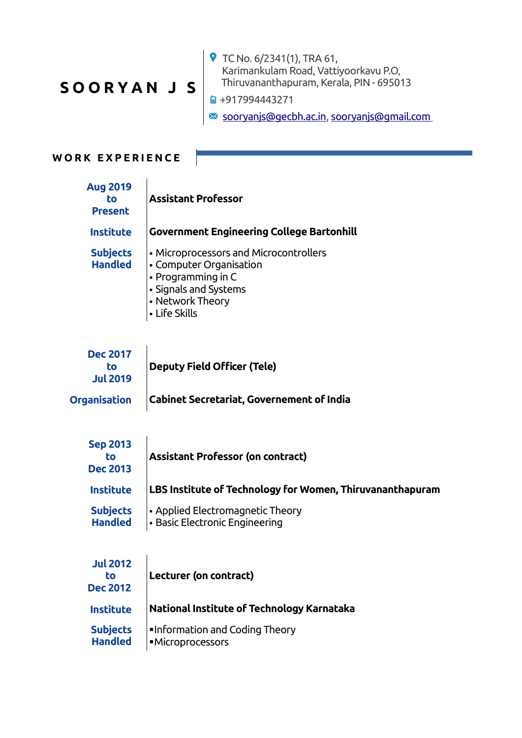## **S O O R Y A N J S**

TC No. 6/2341(1), TRA 61, Karimankulam Road, Vattiyoorkavu P.O, Thiruvananthapuram, Kerala, PIN - 695013

■ +917994443271

[sooryanjs@gecbh.ac.in](mailto:sooryanjs@gecbh.ac.in), [sooryanjs@gmail.com](mailto:sooryanjs@gmail.com)

## WORK EXPERIENCE

| <b>Aug 2019</b><br>to<br><b>Present</b>  | <b>Assistant Professor</b>                                                                                                                            |
|------------------------------------------|-------------------------------------------------------------------------------------------------------------------------------------------------------|
| <b>Institute</b>                         | <b>Government Engineering College Bartonhill</b>                                                                                                      |
| <b>Subjects</b><br><b>Handled</b>        | • Microprocessors and Microcontrollers<br>• Computer Organisation<br>• Programming in C<br>• Signals and Systems<br>• Network Theory<br>• Life Skills |
| <b>Dec 2017</b><br>to<br><b>Jul 2019</b> | <b>Deputy Field Officer (Tele)</b>                                                                                                                    |
| <b>Organisation</b>                      | <b>Cabinet Secretariat, Governement of India</b>                                                                                                      |
| <b>Sep 2013</b><br>to<br><b>Dec 2013</b> | <b>Assistant Professor (on contract)</b>                                                                                                              |
| <b>Institute</b>                         | LBS Institute of Technology for Women, Thiruvananthapuram                                                                                             |
| <b>Subjects</b><br><b>Handled</b>        | • Applied Electromagnetic Theory<br>• Basic Electronic Engineering                                                                                    |
| <b>Jul 2012</b><br>to<br><b>Dec 2012</b> | Lecturer (on contract)                                                                                                                                |
| <b>Institute</b>                         | National Institute of Technology Karnataka                                                                                                            |
| <b>Subjects</b><br><b>Handled</b>        | <b>Information and Coding Theory</b><br>·Microprocessors                                                                                              |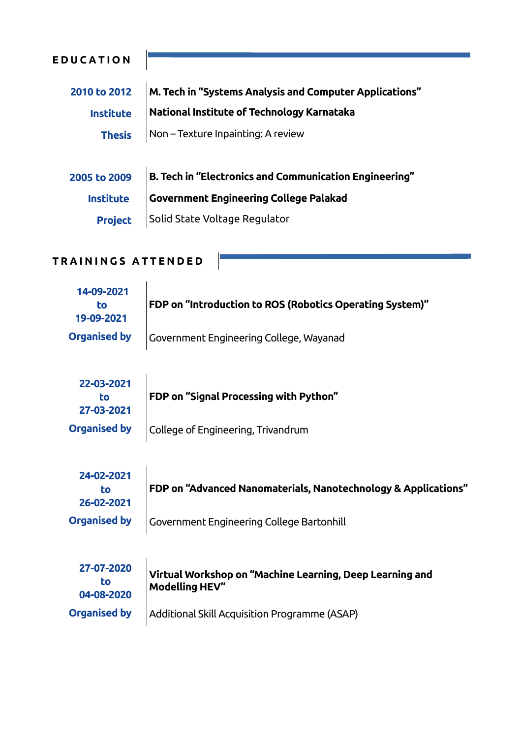| <b>EDUCATION</b> |                                                         |
|------------------|---------------------------------------------------------|
| 2010 to 2012     | M. Tech in "Systems Analysis and Computer Applications" |
| <b>Institute</b> | National Institute of Technology Karnataka              |
| <b>Thesis</b>    | Non – Texture Inpainting: A review                      |
| 2005 to 2009     | B. Tech in "Electronics and Communication Engineering"  |
| <b>Institute</b> | <b>Government Engineering College Palakad</b>           |
| <b>Project</b>   | Solid State Voltage Regulator                           |

 $\sim$ 

## TRAININGS ATTENDED

| 14-09-2021<br>to.<br>19-09-2021 | FDP on "Introduction to ROS (Robotics Operating System)"       |
|---------------------------------|----------------------------------------------------------------|
| <b>Organised by</b>             | Government Engineering College, Wayanad                        |
|                                 |                                                                |
| 22-03-2021                      |                                                                |
| to                              | FDP on "Signal Processing with Python"                         |
| 27-03-2021                      |                                                                |
| <b>Organised by</b>             | College of Engineering, Trivandrum                             |
|                                 |                                                                |
| 24-02-2021                      |                                                                |
| to                              | FDP on "Advanced Nanomaterials, Nanotechnology & Applications" |
| 26-02-2021                      |                                                                |
| <b>Organised by</b>             | Government Engineering College Bartonhill                      |
|                                 |                                                                |
| 27-07-2020                      |                                                                |
| to                              | Virtual Workshop on "Machine Learning, Deep Learning and       |
| 04-08-2020                      | <b>Modelling HEV"</b>                                          |
| <b>Organised by</b>             |                                                                |
|                                 | Additional Skill Acquisition Programme (ASAP)                  |